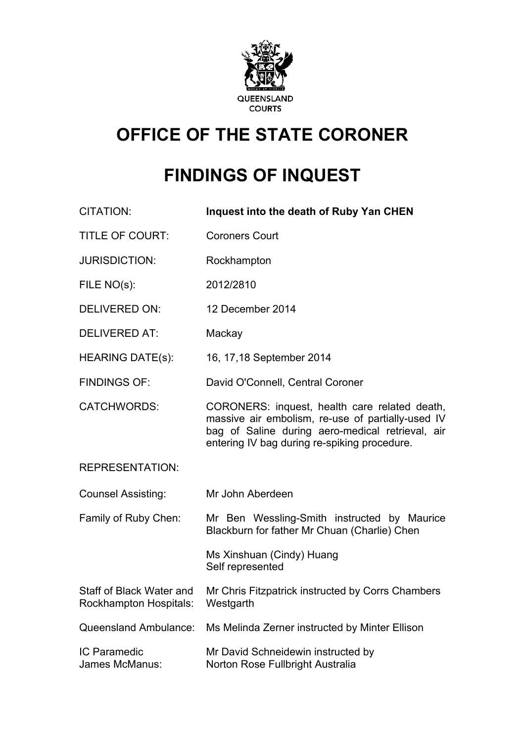

# **OFFICE OF THE STATE CORONER**

# **FINDINGS OF INQUEST**

| <b>CITATION:</b>                                   | Inquest into the death of Ruby Yan CHEN                                                                                                                                                                |
|----------------------------------------------------|--------------------------------------------------------------------------------------------------------------------------------------------------------------------------------------------------------|
| <b>TITLE OF COURT:</b>                             | <b>Coroners Court</b>                                                                                                                                                                                  |
| <b>JURISDICTION:</b>                               | Rockhampton                                                                                                                                                                                            |
| FILE NO(s):                                        | 2012/2810                                                                                                                                                                                              |
| <b>DELIVERED ON:</b>                               | 12 December 2014                                                                                                                                                                                       |
| <b>DELIVERED AT:</b>                               | Mackay                                                                                                                                                                                                 |
| <b>HEARING DATE(s):</b>                            | 16, 17, 18 September 2014                                                                                                                                                                              |
| <b>FINDINGS OF:</b>                                | David O'Connell, Central Coroner                                                                                                                                                                       |
| <b>CATCHWORDS:</b>                                 | CORONERS: inquest, health care related death,<br>massive air embolism, re-use of partially-used IV<br>bag of Saline during aero-medical retrieval, air<br>entering IV bag during re-spiking procedure. |
| <b>REPRESENTATION:</b>                             |                                                                                                                                                                                                        |
| <b>Counsel Assisting:</b>                          | Mr John Aberdeen                                                                                                                                                                                       |
| Family of Ruby Chen:                               | Mr Ben Wessling-Smith instructed by Maurice<br>Blackburn for father Mr Chuan (Charlie) Chen                                                                                                            |
|                                                    | Ms Xinshuan (Cindy) Huang<br>Self represented                                                                                                                                                          |
| Staff of Black Water and<br>Rockhampton Hospitals: | Mr Chris Fitzpatrick instructed by Corrs Chambers<br>Westgarth                                                                                                                                         |
| Queensland Ambulance:                              | Ms Melinda Zerner instructed by Minter Ellison                                                                                                                                                         |
| <b>IC Paramedic</b><br>James McManus:              | Mr David Schneidewin instructed by<br>Norton Rose Fullbright Australia                                                                                                                                 |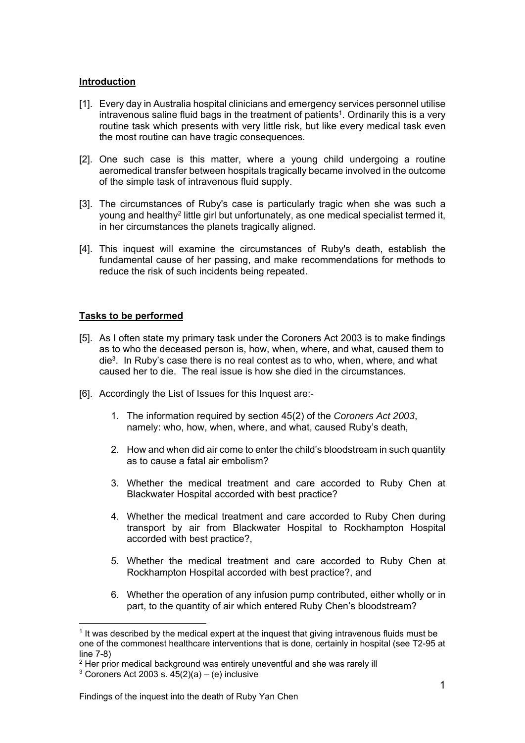#### **Introduction**

- [1]. Every day in Australia hospital clinicians and emergency services personnel utilise intravenous saline fluid bags in the treatment of patients<sup>1</sup>. Ordinarily this is a very routine task which presents with very little risk, but like every medical task even the most routine can have tragic consequences.
- [2]. One such case is this matter, where a young child undergoing a routine aeromedical transfer between hospitals tragically became involved in the outcome of the simple task of intravenous fluid supply.
- [3]. The circumstances of Ruby's case is particularly tragic when she was such a young and healthy2 little girl but unfortunately, as one medical specialist termed it, in her circumstances the planets tragically aligned.
- [4]. This inquest will examine the circumstances of Ruby's death, establish the fundamental cause of her passing, and make recommendations for methods to reduce the risk of such incidents being repeated.

# **Tasks to be performed**

- [5]. As I often state my primary task under the Coroners Act 2003 is to make findings as to who the deceased person is, how, when, where, and what, caused them to die3. In Ruby's case there is no real contest as to who, when, where, and what caused her to die. The real issue is how she died in the circumstances.
- [6]. Accordingly the List of Issues for this Inquest are:-
	- 1. The information required by section 45(2) of the *Coroners Act 2003*, namely: who, how, when, where, and what, caused Ruby's death,
	- 2. How and when did air come to enter the child's bloodstream in such quantity as to cause a fatal air embolism?
	- 3. Whether the medical treatment and care accorded to Ruby Chen at Blackwater Hospital accorded with best practice?
	- 4. Whether the medical treatment and care accorded to Ruby Chen during transport by air from Blackwater Hospital to Rockhampton Hospital accorded with best practice?,
	- 5. Whether the medical treatment and care accorded to Ruby Chen at Rockhampton Hospital accorded with best practice?, and
	- 6. Whether the operation of any infusion pump contributed, either wholly or in part, to the quantity of air which entered Ruby Chen's bloodstream?

l 1 It was described by the medical expert at the inquest that giving intravenous fluids must be one of the commonest healthcare interventions that is done, certainly in hospital (see T2-95 at line 7-8)

<sup>&</sup>lt;sup>2</sup> Her prior medical background was entirely uneventful and she was rarely ill

 $3$  Coroners Act 2003 s.  $45(2)(a) - (e)$  inclusive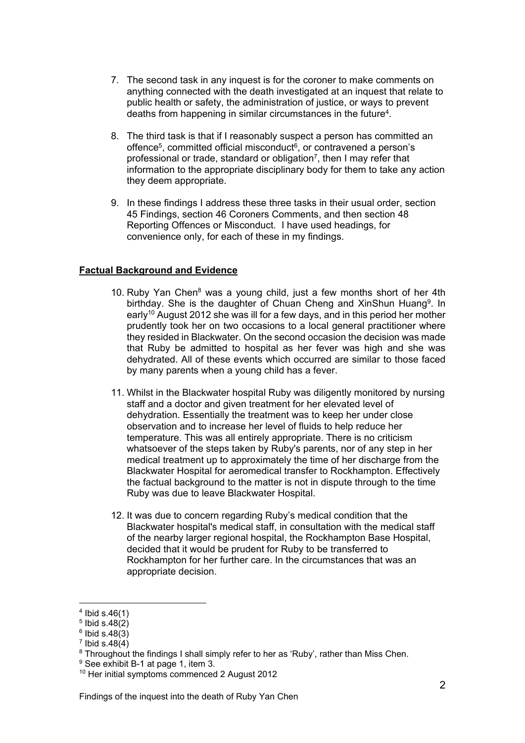- 7. The second task in any inquest is for the coroner to make comments on anything connected with the death investigated at an inquest that relate to public health or safety, the administration of justice, or ways to prevent deaths from happening in similar circumstances in the future4.
- 8. The third task is that if I reasonably suspect a person has committed an offence<sup>5</sup>, committed official misconduct<sup> $6$ </sup>, or contravened a person's professional or trade, standard or obligation7, then I may refer that information to the appropriate disciplinary body for them to take any action they deem appropriate.
- 9. In these findings I address these three tasks in their usual order, section 45 Findings, section 46 Coroners Comments, and then section 48 Reporting Offences or Misconduct. I have used headings, for convenience only, for each of these in my findings.

# **Factual Background and Evidence**

- 10. Ruby Yan Chen<sup>8</sup> was a young child, just a few months short of her 4th birthday. She is the daughter of Chuan Cheng and XinShun Huang<sup>9</sup>. In early<sup>10</sup> August 2012 she was ill for a few days, and in this period her mother prudently took her on two occasions to a local general practitioner where they resided in Blackwater. On the second occasion the decision was made that Ruby be admitted to hospital as her fever was high and she was dehydrated. All of these events which occurred are similar to those faced by many parents when a young child has a fever.
- 11. Whilst in the Blackwater hospital Ruby was diligently monitored by nursing staff and a doctor and given treatment for her elevated level of dehydration. Essentially the treatment was to keep her under close observation and to increase her level of fluids to help reduce her temperature. This was all entirely appropriate. There is no criticism whatsoever of the steps taken by Ruby's parents, nor of any step in her medical treatment up to approximately the time of her discharge from the Blackwater Hospital for aeromedical transfer to Rockhampton. Effectively the factual background to the matter is not in dispute through to the time Ruby was due to leave Blackwater Hospital.
- 12. It was due to concern regarding Ruby's medical condition that the Blackwater hospital's medical staff, in consultation with the medical staff of the nearby larger regional hospital, the Rockhampton Base Hospital, decided that it would be prudent for Ruby to be transferred to Rockhampton for her further care. In the circumstances that was an appropriate decision.

 $4$  Ibid s.46(1)

 $5$  Ibid s.48 $(2)$ 

 $6$  Ibid s.48(3)

 $7$  Ibid s.48 $(4)$ 

<sup>&</sup>lt;sup>8</sup> Throughout the findings I shall simply refer to her as 'Ruby', rather than Miss Chen.

<sup>&</sup>lt;sup>9</sup> See exhibit B-1 at page 1, item 3.

<sup>10</sup> Her initial symptoms commenced 2 August 2012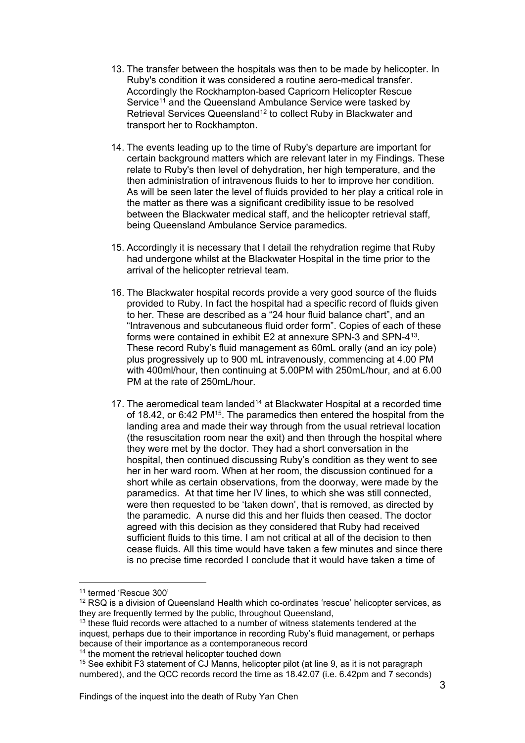- 13. The transfer between the hospitals was then to be made by helicopter. In Ruby's condition it was considered a routine aero-medical transfer. Accordingly the Rockhampton-based Capricorn Helicopter Rescue Service<sup>11</sup> and the Queensland Ambulance Service were tasked by Retrieval Services Queensland<sup>12</sup> to collect Ruby in Blackwater and transport her to Rockhampton.
- 14. The events leading up to the time of Ruby's departure are important for certain background matters which are relevant later in my Findings. These relate to Ruby's then level of dehydration, her high temperature, and the then administration of intravenous fluids to her to improve her condition. As will be seen later the level of fluids provided to her play a critical role in the matter as there was a significant credibility issue to be resolved between the Blackwater medical staff, and the helicopter retrieval staff, being Queensland Ambulance Service paramedics.
- 15. Accordingly it is necessary that I detail the rehydration regime that Ruby had undergone whilst at the Blackwater Hospital in the time prior to the arrival of the helicopter retrieval team.
- 16. The Blackwater hospital records provide a very good source of the fluids provided to Ruby. In fact the hospital had a specific record of fluids given to her. These are described as a "24 hour fluid balance chart", and an "Intravenous and subcutaneous fluid order form". Copies of each of these forms were contained in exhibit E2 at annexure SPN-3 and SPN-413. These record Ruby's fluid management as 60mL orally (and an icy pole) plus progressively up to 900 mL intravenously, commencing at 4.00 PM with 400ml/hour, then continuing at 5.00PM with 250mL/hour, and at 6.00 PM at the rate of 250mL/hour.
- 17. The aeromedical team landed<sup>14</sup> at Blackwater Hospital at a recorded time of 18.42, or 6:42 PM15. The paramedics then entered the hospital from the landing area and made their way through from the usual retrieval location (the resuscitation room near the exit) and then through the hospital where they were met by the doctor. They had a short conversation in the hospital, then continued discussing Ruby's condition as they went to see her in her ward room. When at her room, the discussion continued for a short while as certain observations, from the doorway, were made by the paramedics. At that time her IV lines, to which she was still connected, were then requested to be 'taken down', that is removed, as directed by the paramedic. A nurse did this and her fluids then ceased. The doctor agreed with this decision as they considered that Ruby had received sufficient fluids to this time. I am not critical at all of the decision to then cease fluids. All this time would have taken a few minutes and since there is no precise time recorded I conclude that it would have taken a time of

<sup>11</sup> termed 'Rescue 300'

 $12$  RSQ is a division of Queensland Health which co-ordinates 'rescue' helicopter services, as they are frequently termed by the public, throughout Queensland,

 $13$  these fluid records were attached to a number of witness statements tendered at the inquest, perhaps due to their importance in recording Ruby's fluid management, or perhaps because of their importance as a contemporaneous record

<sup>&</sup>lt;sup>14</sup> the moment the retrieval helicopter touched down

<sup>&</sup>lt;sup>15</sup> See exhibit F3 statement of CJ Manns, helicopter pilot (at line 9, as it is not paragraph numbered), and the QCC records record the time as 18.42.07 (i.e. 6.42pm and 7 seconds)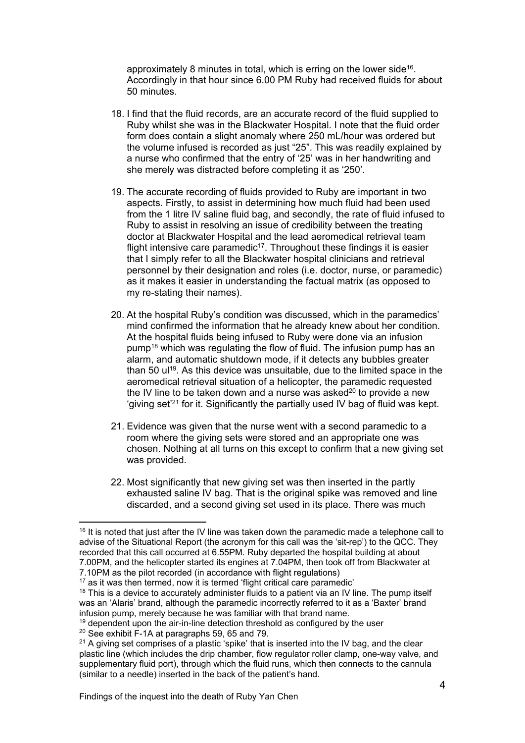approximately 8 minutes in total, which is erring on the lower side<sup>16</sup>. Accordingly in that hour since 6.00 PM Ruby had received fluids for about 50 minutes.

- 18. I find that the fluid records, are an accurate record of the fluid supplied to Ruby whilst she was in the Blackwater Hospital. I note that the fluid order form does contain a slight anomaly where 250 mL/hour was ordered but the volume infused is recorded as just "25". This was readily explained by a nurse who confirmed that the entry of '25' was in her handwriting and she merely was distracted before completing it as '250'.
- 19. The accurate recording of fluids provided to Ruby are important in two aspects. Firstly, to assist in determining how much fluid had been used from the 1 litre IV saline fluid bag, and secondly, the rate of fluid infused to Ruby to assist in resolving an issue of credibility between the treating doctor at Blackwater Hospital and the lead aeromedical retrieval team flight intensive care paramedic<sup>17</sup>. Throughout these findings it is easier that I simply refer to all the Blackwater hospital clinicians and retrieval personnel by their designation and roles (i.e. doctor, nurse, or paramedic) as it makes it easier in understanding the factual matrix (as opposed to my re-stating their names).
- 20. At the hospital Ruby's condition was discussed, which in the paramedics' mind confirmed the information that he already knew about her condition. At the hospital fluids being infused to Ruby were done via an infusion pump18 which was regulating the flow of fluid. The infusion pump has an alarm, and automatic shutdown mode, if it detects any bubbles greater than 50 ul<sup>19</sup>. As this device was unsuitable, due to the limited space in the aeromedical retrieval situation of a helicopter, the paramedic requested the IV line to be taken down and a nurse was asked<sup>20</sup> to provide a new 'giving set'21 for it. Significantly the partially used IV bag of fluid was kept.
- 21. Evidence was given that the nurse went with a second paramedic to a room where the giving sets were stored and an appropriate one was chosen. Nothing at all turns on this except to confirm that a new giving set was provided.
- 22. Most significantly that new giving set was then inserted in the partly exhausted saline IV bag. That is the original spike was removed and line discarded, and a second giving set used in its place. There was much

 $16$  It is noted that just after the IV line was taken down the paramedic made a telephone call to advise of the Situational Report (the acronym for this call was the 'sit-rep') to the QCC. They recorded that this call occurred at 6.55PM. Ruby departed the hospital building at about 7.00PM, and the helicopter started its engines at 7.04PM, then took off from Blackwater at 7.10PM as the pilot recorded (in accordance with flight regulations)

<sup>&</sup>lt;sup>17</sup> as it was then termed, now it is termed 'flight critical care paramedic'

 $18$  This is a device to accurately administer fluids to a patient via an IV line. The pump itself was an 'Alaris' brand, although the paramedic incorrectly referred to it as a 'Baxter' brand infusion pump, merely because he was familiar with that brand name.

 $19$  dependent upon the air-in-line detection threshold as configured by the user

<sup>&</sup>lt;sup>20</sup> See exhibit F-1A at paragraphs 59, 65 and 79.

 $21$  A giving set comprises of a plastic 'spike' that is inserted into the IV bag, and the clear plastic line (which includes the drip chamber, flow regulator roller clamp, one-way valve, and supplementary fluid port), through which the fluid runs, which then connects to the cannula (similar to a needle) inserted in the back of the patient's hand.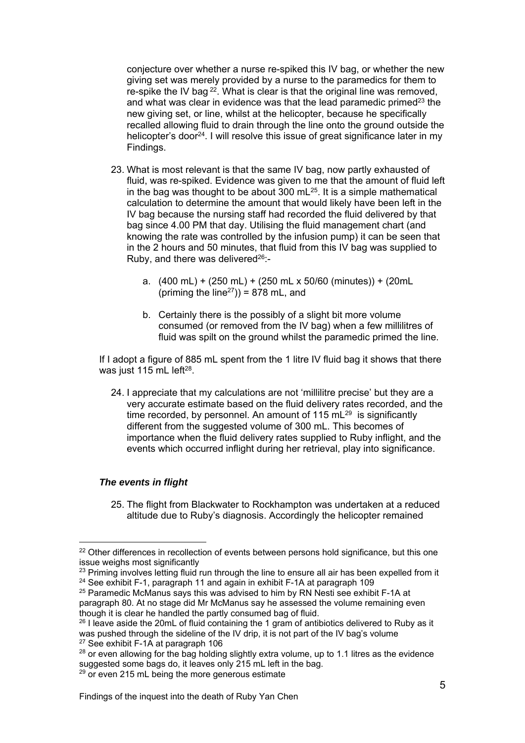conjecture over whether a nurse re-spiked this IV bag, or whether the new giving set was merely provided by a nurse to the paramedics for them to re-spike the IV bag  $2^2$ . What is clear is that the original line was removed, and what was clear in evidence was that the lead paramedic primed $23$  the new giving set, or line, whilst at the helicopter, because he specifically recalled allowing fluid to drain through the line onto the ground outside the helicopter's door<sup>24</sup>. I will resolve this issue of great significance later in my Findings.

- 23. What is most relevant is that the same IV bag, now partly exhausted of fluid, was re-spiked. Evidence was given to me that the amount of fluid left in the bag was thought to be about  $300 \text{ mL}^{25}$ . It is a simple mathematical calculation to determine the amount that would likely have been left in the IV bag because the nursing staff had recorded the fluid delivered by that bag since 4.00 PM that day. Utilising the fluid management chart (and knowing the rate was controlled by the infusion pump) it can be seen that in the 2 hours and 50 minutes, that fluid from this IV bag was supplied to Ruby, and there was delivered<sup>26</sup>:
	- a. (400 mL) + (250 mL) + (250 mL x 50/60 (minutes)) + (20mL (priming the line<sup>27</sup>)) = 878 mL, and
	- b. Certainly there is the possibly of a slight bit more volume consumed (or removed from the IV bag) when a few millilitres of fluid was spilt on the ground whilst the paramedic primed the line.

If I adopt a figure of 885 mL spent from the 1 litre IV fluid bag it shows that there was just 115 mL left $28$ .

24. I appreciate that my calculations are not 'millilitre precise' but they are a very accurate estimate based on the fluid delivery rates recorded, and the time recorded, by personnel. An amount of  $115 \text{ mL}^{29}$  is significantly different from the suggested volume of 300 mL. This becomes of importance when the fluid delivery rates supplied to Ruby inflight, and the events which occurred inflight during her retrieval, play into significance.

# *The events in flight*

l

25. The flight from Blackwater to Rockhampton was undertaken at a reduced altitude due to Ruby's diagnosis. Accordingly the helicopter remained

<sup>&</sup>lt;sup>22</sup> Other differences in recollection of events between persons hold significance, but this one issue weighs most significantly

 $23$  Priming involves letting fluid run through the line to ensure all air has been expelled from it <sup>24</sup> See exhibit F-1, paragraph 11 and again in exhibit F-1A at paragraph 109

<sup>&</sup>lt;sup>25</sup> Paramedic McManus says this was advised to him by RN Nesti see exhibit F-1A at paragraph 80. At no stage did Mr McManus say he assessed the volume remaining even though it is clear he handled the partly consumed bag of fluid.

 $26$  I leave aside the 20mL of fluid containing the 1 gram of antibiotics delivered to Ruby as it was pushed through the sideline of the IV drip, it is not part of the IV bag's volume <sup>27</sup> See exhibit F-1A at paragraph 106

 $28$  or even allowing for the bag holding slightly extra volume, up to 1.1 litres as the evidence suggested some bags do, it leaves only 215 mL left in the bag.

 $29$  or even 215 mL being the more generous estimate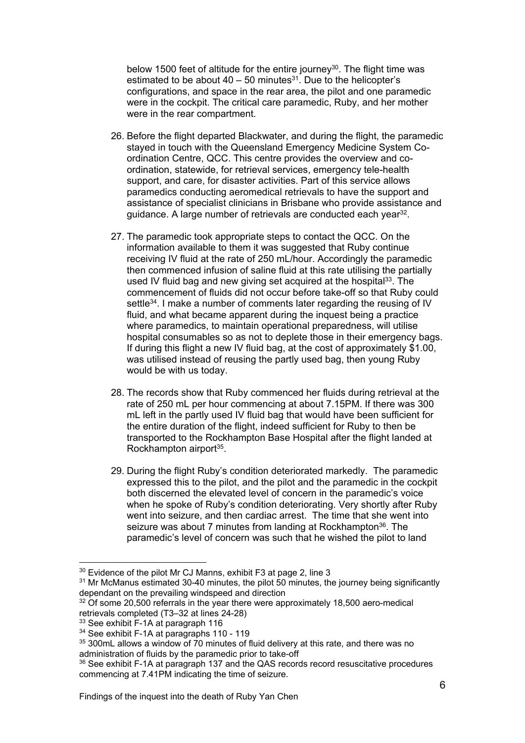below 1500 feet of altitude for the entire journey<sup>30</sup>. The flight time was estimated to be about  $40 - 50$  minutes<sup>31</sup>. Due to the helicopter's configurations, and space in the rear area, the pilot and one paramedic were in the cockpit. The critical care paramedic, Ruby, and her mother were in the rear compartment.

- 26. Before the flight departed Blackwater, and during the flight, the paramedic stayed in touch with the Queensland Emergency Medicine System Coordination Centre, QCC. This centre provides the overview and coordination, statewide, for retrieval services, emergency tele-health support, and care, for disaster activities. Part of this service allows paramedics conducting aeromedical retrievals to have the support and assistance of specialist clinicians in Brisbane who provide assistance and guidance. A large number of retrievals are conducted each year32.
- 27. The paramedic took appropriate steps to contact the QCC. On the information available to them it was suggested that Ruby continue receiving IV fluid at the rate of 250 mL/hour. Accordingly the paramedic then commenced infusion of saline fluid at this rate utilising the partially used IV fluid bag and new giving set acquired at the hospital<sup>33</sup>. The commencement of fluids did not occur before take-off so that Ruby could settle<sup>34</sup>. I make a number of comments later regarding the reusing of IV fluid, and what became apparent during the inquest being a practice where paramedics, to maintain operational preparedness, will utilise hospital consumables so as not to deplete those in their emergency bags. If during this flight a new IV fluid bag, at the cost of approximately \$1.00, was utilised instead of reusing the partly used bag, then young Ruby would be with us today.
- 28. The records show that Ruby commenced her fluids during retrieval at the rate of 250 mL per hour commencing at about 7.15PM. If there was 300 mL left in the partly used IV fluid bag that would have been sufficient for the entire duration of the flight, indeed sufficient for Ruby to then be transported to the Rockhampton Base Hospital after the flight landed at Rockhampton airport<sup>35</sup>.
- 29. During the flight Ruby's condition deteriorated markedly. The paramedic expressed this to the pilot, and the pilot and the paramedic in the cockpit both discerned the elevated level of concern in the paramedic's voice when he spoke of Ruby's condition deteriorating. Very shortly after Ruby went into seizure, and then cardiac arrest. The time that she went into seizure was about 7 minutes from landing at Rockhampton<sup>36</sup>. The paramedic's level of concern was such that he wished the pilot to land

<sup>30</sup> Evidence of the pilot Mr CJ Manns, exhibit F3 at page 2, line 3

<sup>&</sup>lt;sup>31</sup> Mr McManus estimated 30-40 minutes, the pilot 50 minutes, the journey being significantly dependant on the prevailing windspeed and direction

<sup>&</sup>lt;sup>32</sup> Of some 20,500 referrals in the year there were approximately 18,500 aero-medical retrievals completed (T3–32 at lines 24-28)

<sup>&</sup>lt;sup>33</sup> See exhibit F-1A at paragraph 116

<sup>&</sup>lt;sup>34</sup> See exhibit F-1A at paragraphs 110 - 119

<sup>&</sup>lt;sup>35</sup> 300mL allows a window of 70 minutes of fluid delivery at this rate, and there was no administration of fluids by the paramedic prior to take-off

<sup>&</sup>lt;sup>36</sup> See exhibit F-1A at paragraph 137 and the QAS records record resuscitative procedures commencing at 7.41PM indicating the time of seizure.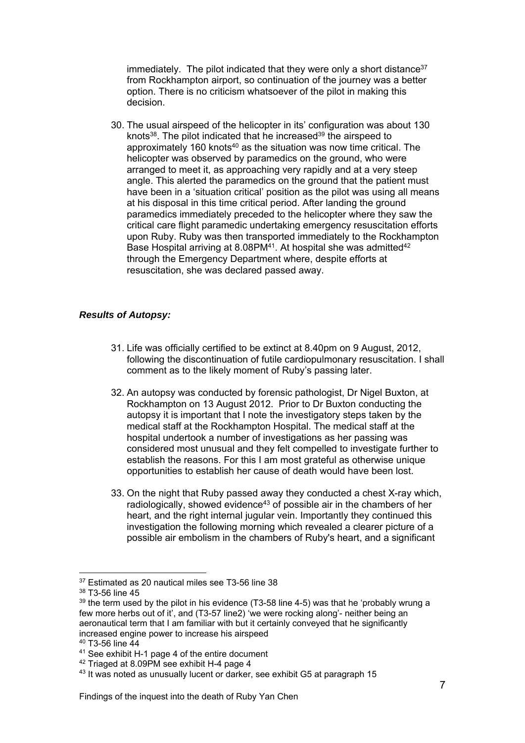immediately. The pilot indicated that they were only a short distance<sup>37</sup> from Rockhampton airport, so continuation of the journey was a better option. There is no criticism whatsoever of the pilot in making this decision.

30. The usual airspeed of the helicopter in its' configuration was about 130 knots<sup>38</sup>. The pilot indicated that he increased<sup>39</sup> the airspeed to approximately 160 knots<sup>40</sup> as the situation was now time critical. The helicopter was observed by paramedics on the ground, who were arranged to meet it, as approaching very rapidly and at a very steep angle. This alerted the paramedics on the ground that the patient must have been in a 'situation critical' position as the pilot was using all means at his disposal in this time critical period. After landing the ground paramedics immediately preceded to the helicopter where they saw the critical care flight paramedic undertaking emergency resuscitation efforts upon Ruby. Ruby was then transported immediately to the Rockhampton Base Hospital arriving at 8.08PM<sup>41</sup>. At hospital she was admitted<sup>42</sup> through the Emergency Department where, despite efforts at resuscitation, she was declared passed away.

# *Results of Autopsy:*

- 31. Life was officially certified to be extinct at 8.40pm on 9 August, 2012, following the discontinuation of futile cardiopulmonary resuscitation. I shall comment as to the likely moment of Ruby's passing later.
- 32. An autopsy was conducted by forensic pathologist, Dr Nigel Buxton, at Rockhampton on 13 August 2012. Prior to Dr Buxton conducting the autopsy it is important that I note the investigatory steps taken by the medical staff at the Rockhampton Hospital. The medical staff at the hospital undertook a number of investigations as her passing was considered most unusual and they felt compelled to investigate further to establish the reasons. For this I am most grateful as otherwise unique opportunities to establish her cause of death would have been lost.
- 33. On the night that Ruby passed away they conducted a chest X-ray which, radiologically, showed evidence<sup>43</sup> of possible air in the chambers of her heart, and the right internal jugular vein. Importantly they continued this investigation the following morning which revealed a clearer picture of a possible air embolism in the chambers of Ruby's heart, and a significant

40 T3-56 line 44

l 37 Estimated as 20 nautical miles see T3-56 line 38

<sup>38</sup> T3-56 line 45

 $39$  the term used by the pilot in his evidence (T3-58 line 4-5) was that he 'probably wrung a few more herbs out of it', and (T3-57 line2) 'we were rocking along'- neither being an aeronautical term that I am familiar with but it certainly conveyed that he significantly increased engine power to increase his airspeed

<sup>41</sup> See exhibit H-1 page 4 of the entire document

<sup>&</sup>lt;sup>42</sup> Triaged at 8.09PM see exhibit H-4 page 4

<sup>43</sup> It was noted as unusually lucent or darker, see exhibit G5 at paragraph 15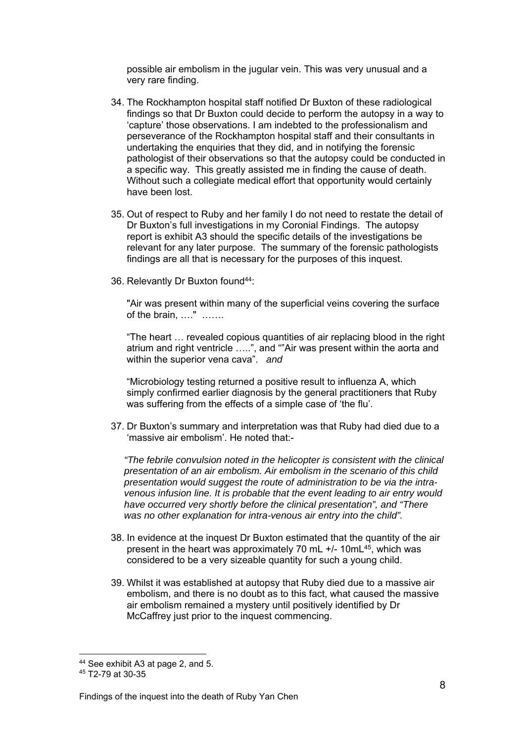possible air embolism in the jugular vein. This was very unusual and a very rare finding.

- 34. The Rockhampton hospital staff notified Dr Buxton of these radiological findings so that Dr Buxton could decide to perform the autopsy in a way to 'capture' those observations. I am indebted to the professionalism and perseverance of the Rockhampton hospital staff and their consultants in undertaking the enquiries that they did, and in notifying the forensic pathologist of their observations so that the autopsy could be conducted in a specific way. This greatly assisted me in finding the cause of death. Without such a collegiate medical effort that opportunity would certainly have been lost.
- 35. Out of respect to Ruby and her family I do not need to restate the detail of Dr Buxton's full investigations in my Coronial Findings. The autopsy report is exhibit A3 should the specific details of the investigations be relevant for any later purpose. The summary of the forensic pathologists findings are all that is necessary for the purposes of this inquest.
- 36. Relevantly Dr Buxton found<sup>44</sup>:

"Air was present within many of the superficial veins covering the surface of the brain, …." …….

"The heart … revealed copious quantities of air replacing blood in the right atrium and right ventricle …..", and ""Air was present within the aorta and within the superior vena cava". *and*

"Microbiology testing returned a positive result to influenza A, which simply confirmed earlier diagnosis by the general practitioners that Ruby was suffering from the effects of a simple case of 'the flu'.

37. Dr Buxton's summary and interpretation was that Ruby had died due to a 'massive air embolism'. He noted that:-

*"The febrile convulsion noted in the helicopter is consistent with the clinical presentation of an air embolism. Air embolism in the scenario of this child presentation would suggest the route of administration to be via the intravenous infusion line. It is probable that the event leading to air entry would have occurred very shortly before the clinical presentation", and "There was no other explanation for intra-venous air entry into the child".* 

- 38. In evidence at the inquest Dr Buxton estimated that the quantity of the air present in the heart was approximately 70 mL +/- 10mL45, which was considered to be a very sizeable quantity for such a young child.
- 39. Whilst it was established at autopsy that Ruby died due to a massive air embolism, and there is no doubt as to this fact, what caused the massive air embolism remained a mystery until positively identified by Dr McCaffrey just prior to the inquest commencing.

<sup>44</sup> See exhibit A3 at page 2, and 5.

<sup>45</sup> T2-79 at 30-35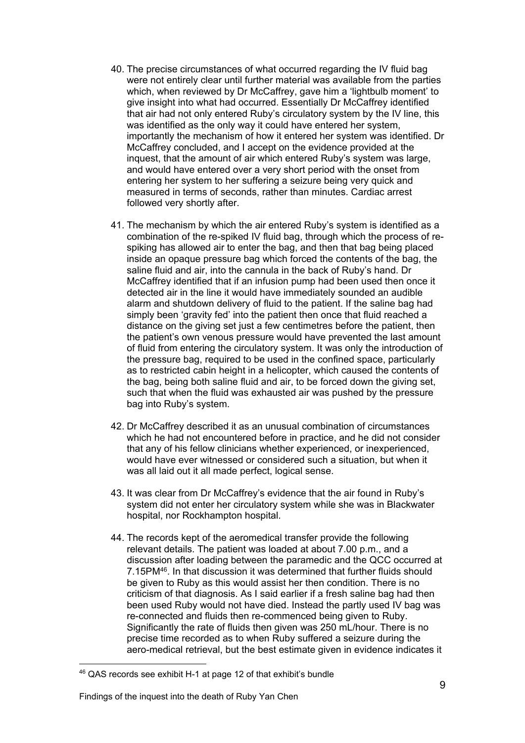- 40. The precise circumstances of what occurred regarding the IV fluid bag were not entirely clear until further material was available from the parties which, when reviewed by Dr McCaffrey, gave him a 'lightbulb moment' to give insight into what had occurred. Essentially Dr McCaffrey identified that air had not only entered Ruby's circulatory system by the IV line, this was identified as the only way it could have entered her system, importantly the mechanism of how it entered her system was identified. Dr McCaffrey concluded, and I accept on the evidence provided at the inquest, that the amount of air which entered Ruby's system was large, and would have entered over a very short period with the onset from entering her system to her suffering a seizure being very quick and measured in terms of seconds, rather than minutes. Cardiac arrest followed very shortly after.
- 41. The mechanism by which the air entered Ruby's system is identified as a combination of the re-spiked IV fluid bag, through which the process of respiking has allowed air to enter the bag, and then that bag being placed inside an opaque pressure bag which forced the contents of the bag, the saline fluid and air, into the cannula in the back of Ruby's hand. Dr McCaffrey identified that if an infusion pump had been used then once it detected air in the line it would have immediately sounded an audible alarm and shutdown delivery of fluid to the patient. If the saline bag had simply been 'gravity fed' into the patient then once that fluid reached a distance on the giving set just a few centimetres before the patient, then the patient's own venous pressure would have prevented the last amount of fluid from entering the circulatory system. It was only the introduction of the pressure bag, required to be used in the confined space, particularly as to restricted cabin height in a helicopter, which caused the contents of the bag, being both saline fluid and air, to be forced down the giving set, such that when the fluid was exhausted air was pushed by the pressure bag into Ruby's system.
- 42. Dr McCaffrey described it as an unusual combination of circumstances which he had not encountered before in practice, and he did not consider that any of his fellow clinicians whether experienced, or inexperienced, would have ever witnessed or considered such a situation, but when it was all laid out it all made perfect, logical sense.
- 43. It was clear from Dr McCaffrey's evidence that the air found in Ruby's system did not enter her circulatory system while she was in Blackwater hospital, nor Rockhampton hospital.
- 44. The records kept of the aeromedical transfer provide the following relevant details. The patient was loaded at about 7.00 p.m., and a discussion after loading between the paramedic and the QCC occurred at 7.15PM46. In that discussion it was determined that further fluids should be given to Ruby as this would assist her then condition. There is no criticism of that diagnosis. As I said earlier if a fresh saline bag had then been used Ruby would not have died. Instead the partly used IV bag was re-connected and fluids then re-commenced being given to Ruby. Significantly the rate of fluids then given was 250 mL/hour. There is no precise time recorded as to when Ruby suffered a seizure during the aero-medical retrieval, but the best estimate given in evidence indicates it

<sup>46</sup> QAS records see exhibit H-1 at page 12 of that exhibit's bundle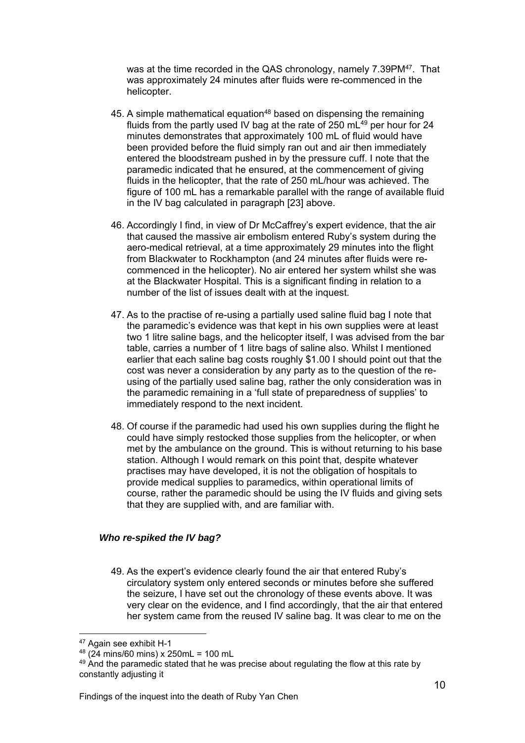was at the time recorded in the QAS chronology, namely 7.39PM<sup>47</sup>. That was approximately 24 minutes after fluids were re-commenced in the helicopter.

- 45. A simple mathematical equation<sup>48</sup> based on dispensing the remaining fluids from the partly used IV bag at the rate of 250  $mL<sup>49</sup>$  per hour for 24 minutes demonstrates that approximately 100 mL of fluid would have been provided before the fluid simply ran out and air then immediately entered the bloodstream pushed in by the pressure cuff. I note that the paramedic indicated that he ensured, at the commencement of giving fluids in the helicopter, that the rate of 250 mL/hour was achieved. The figure of 100 mL has a remarkable parallel with the range of available fluid in the IV bag calculated in paragraph [23] above.
- 46. Accordingly I find, in view of Dr McCaffrey's expert evidence, that the air that caused the massive air embolism entered Ruby's system during the aero-medical retrieval, at a time approximately 29 minutes into the flight from Blackwater to Rockhampton (and 24 minutes after fluids were recommenced in the helicopter). No air entered her system whilst she was at the Blackwater Hospital. This is a significant finding in relation to a number of the list of issues dealt with at the inquest.
- 47. As to the practise of re-using a partially used saline fluid bag I note that the paramedic's evidence was that kept in his own supplies were at least two 1 litre saline bags, and the helicopter itself, I was advised from the bar table, carries a number of 1 litre bags of saline also. Whilst I mentioned earlier that each saline bag costs roughly \$1.00 I should point out that the cost was never a consideration by any party as to the question of the reusing of the partially used saline bag, rather the only consideration was in the paramedic remaining in a 'full state of preparedness of supplies' to immediately respond to the next incident.
- 48. Of course if the paramedic had used his own supplies during the flight he could have simply restocked those supplies from the helicopter, or when met by the ambulance on the ground. This is without returning to his base station. Although I would remark on this point that, despite whatever practises may have developed, it is not the obligation of hospitals to provide medical supplies to paramedics, within operational limits of course, rather the paramedic should be using the IV fluids and giving sets that they are supplied with, and are familiar with.

#### *Who re-spiked the IV bag?*

49. As the expert's evidence clearly found the air that entered Ruby's circulatory system only entered seconds or minutes before she suffered the seizure, I have set out the chronology of these events above. It was very clear on the evidence, and I find accordingly, that the air that entered her system came from the reused IV saline bag. It was clear to me on the

l 47 Again see exhibit H-1

 $48$  (24 mins/60 mins) x 250mL = 100 mL

<sup>&</sup>lt;sup>49</sup> And the paramedic stated that he was precise about regulating the flow at this rate by constantly adjusting it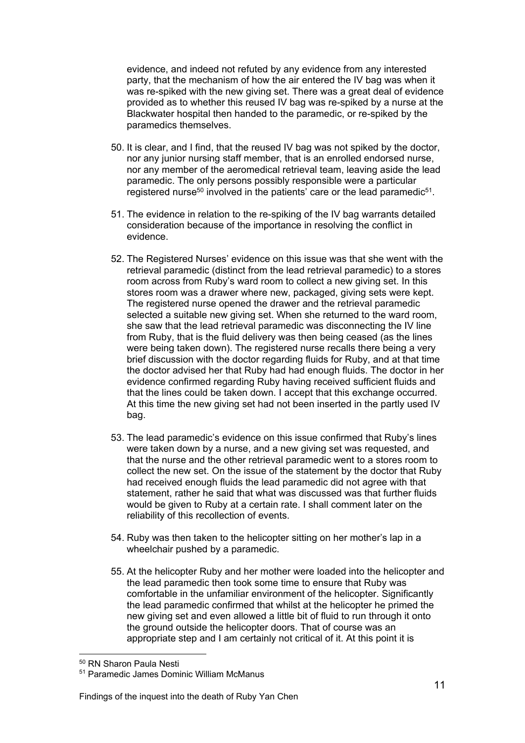evidence, and indeed not refuted by any evidence from any interested party, that the mechanism of how the air entered the IV bag was when it was re-spiked with the new giving set. There was a great deal of evidence provided as to whether this reused IV bag was re-spiked by a nurse at the Blackwater hospital then handed to the paramedic, or re-spiked by the paramedics themselves.

- 50. It is clear, and I find, that the reused IV bag was not spiked by the doctor, nor any junior nursing staff member, that is an enrolled endorsed nurse, nor any member of the aeromedical retrieval team, leaving aside the lead paramedic. The only persons possibly responsible were a particular registered nurse<sup>50</sup> involved in the patients' care or the lead paramedic<sup>51</sup>.
- 51. The evidence in relation to the re-spiking of the IV bag warrants detailed consideration because of the importance in resolving the conflict in evidence.
- 52. The Registered Nurses' evidence on this issue was that she went with the retrieval paramedic (distinct from the lead retrieval paramedic) to a stores room across from Ruby's ward room to collect a new giving set. In this stores room was a drawer where new, packaged, giving sets were kept. The registered nurse opened the drawer and the retrieval paramedic selected a suitable new giving set. When she returned to the ward room, she saw that the lead retrieval paramedic was disconnecting the IV line from Ruby, that is the fluid delivery was then being ceased (as the lines were being taken down). The registered nurse recalls there being a very brief discussion with the doctor regarding fluids for Ruby, and at that time the doctor advised her that Ruby had had enough fluids. The doctor in her evidence confirmed regarding Ruby having received sufficient fluids and that the lines could be taken down. I accept that this exchange occurred. At this time the new giving set had not been inserted in the partly used IV bag.
- 53. The lead paramedic's evidence on this issue confirmed that Ruby's lines were taken down by a nurse, and a new giving set was requested, and that the nurse and the other retrieval paramedic went to a stores room to collect the new set. On the issue of the statement by the doctor that Ruby had received enough fluids the lead paramedic did not agree with that statement, rather he said that what was discussed was that further fluids would be given to Ruby at a certain rate. I shall comment later on the reliability of this recollection of events.
- 54. Ruby was then taken to the helicopter sitting on her mother's lap in a wheelchair pushed by a paramedic.
- 55. At the helicopter Ruby and her mother were loaded into the helicopter and the lead paramedic then took some time to ensure that Ruby was comfortable in the unfamiliar environment of the helicopter. Significantly the lead paramedic confirmed that whilst at the helicopter he primed the new giving set and even allowed a little bit of fluid to run through it onto the ground outside the helicopter doors. That of course was an appropriate step and I am certainly not critical of it. At this point it is

<sup>50</sup> RN Sharon Paula Nesti

<sup>51</sup> Paramedic James Dominic William McManus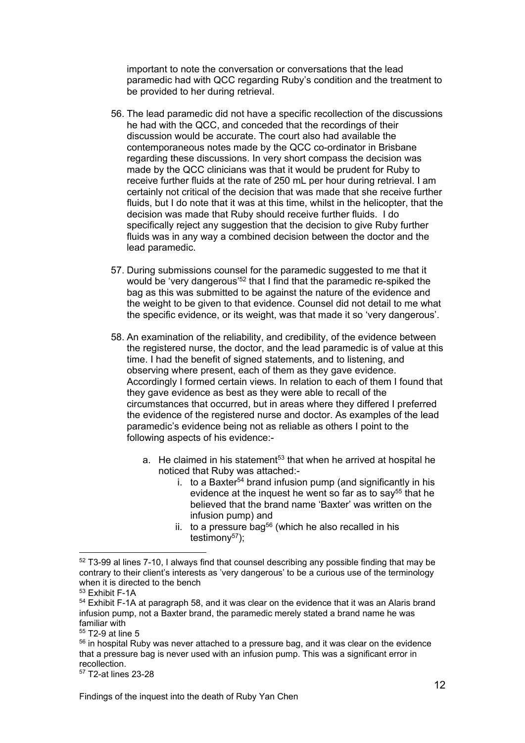important to note the conversation or conversations that the lead paramedic had with QCC regarding Ruby's condition and the treatment to be provided to her during retrieval.

- 56. The lead paramedic did not have a specific recollection of the discussions he had with the QCC, and conceded that the recordings of their discussion would be accurate. The court also had available the contemporaneous notes made by the QCC co-ordinator in Brisbane regarding these discussions. In very short compass the decision was made by the QCC clinicians was that it would be prudent for Ruby to receive further fluids at the rate of 250 mL per hour during retrieval. I am certainly not critical of the decision that was made that she receive further fluids, but I do note that it was at this time, whilst in the helicopter, that the decision was made that Ruby should receive further fluids. I do specifically reject any suggestion that the decision to give Ruby further fluids was in any way a combined decision between the doctor and the lead paramedic.
- 57. During submissions counsel for the paramedic suggested to me that it would be 'very dangerous'52 that I find that the paramedic re-spiked the bag as this was submitted to be against the nature of the evidence and the weight to be given to that evidence. Counsel did not detail to me what the specific evidence, or its weight, was that made it so 'very dangerous'.
- 58. An examination of the reliability, and credibility, of the evidence between the registered nurse, the doctor, and the lead paramedic is of value at this time. I had the benefit of signed statements, and to listening, and observing where present, each of them as they gave evidence. Accordingly I formed certain views. In relation to each of them I found that they gave evidence as best as they were able to recall of the circumstances that occurred, but in areas where they differed I preferred the evidence of the registered nurse and doctor. As examples of the lead paramedic's evidence being not as reliable as others I point to the following aspects of his evidence:
	- a. He claimed in his statement<sup>53</sup> that when he arrived at hospital he noticed that Ruby was attached:
		- i. to a Baxter<sup>54</sup> brand infusion pump (and significantly in his evidence at the inquest he went so far as to say<sup>55</sup> that he believed that the brand name 'Baxter' was written on the infusion pump) and
		- ii. to a pressure bag<sup>56</sup> (which he also recalled in his testimony57);

l

57 T2-at lines 23-28

 $52$  T3-99 al lines 7-10, I always find that counsel describing any possible finding that may be contrary to their client's interests as 'very dangerous' to be a curious use of the terminology when it is directed to the bench

<sup>53</sup> Exhibit F-1A

<sup>&</sup>lt;sup>54</sup> Exhibit F-1A at paragraph 58, and it was clear on the evidence that it was an Alaris brand infusion pump, not a Baxter brand, the paramedic merely stated a brand name he was familiar with

<sup>55</sup> T2-9 at line 5

 $56$  in hospital Ruby was never attached to a pressure bag, and it was clear on the evidence that a pressure bag is never used with an infusion pump. This was a significant error in recollection.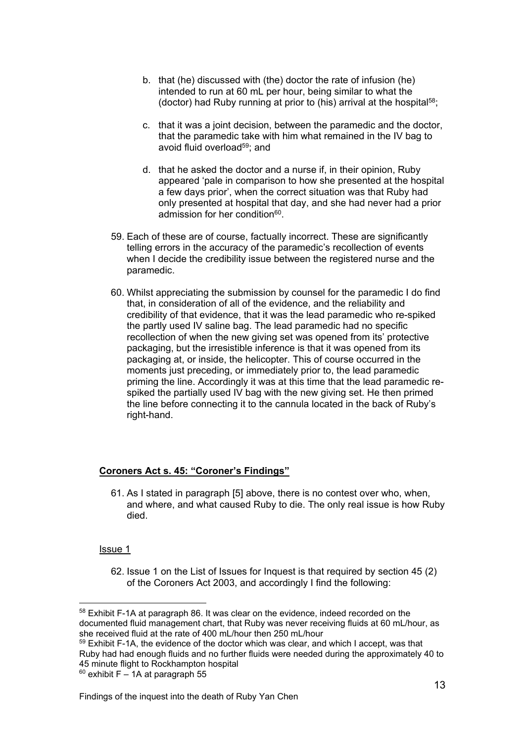- b. that (he) discussed with (the) doctor the rate of infusion (he) intended to run at 60 mL per hour, being similar to what the (doctor) had Ruby running at prior to (his) arrival at the hospital58;
- c. that it was a joint decision, between the paramedic and the doctor, that the paramedic take with him what remained in the IV bag to avoid fluid overload<sup>59</sup>; and
- d. that he asked the doctor and a nurse if, in their opinion, Ruby appeared 'pale in comparison to how she presented at the hospital a few days prior', when the correct situation was that Ruby had only presented at hospital that day, and she had never had a prior admission for her condition<sup>60</sup>.
- 59. Each of these are of course, factually incorrect. These are significantly telling errors in the accuracy of the paramedic's recollection of events when I decide the credibility issue between the registered nurse and the paramedic.
- 60. Whilst appreciating the submission by counsel for the paramedic I do find that, in consideration of all of the evidence, and the reliability and credibility of that evidence, that it was the lead paramedic who re-spiked the partly used IV saline bag. The lead paramedic had no specific recollection of when the new giving set was opened from its' protective packaging, but the irresistible inference is that it was opened from its packaging at, or inside, the helicopter. This of course occurred in the moments just preceding, or immediately prior to, the lead paramedic priming the line. Accordingly it was at this time that the lead paramedic respiked the partially used IV bag with the new giving set. He then primed the line before connecting it to the cannula located in the back of Ruby's right-hand.

# **Coroners Act s. 45: "Coroner's Findings"**

61. As I stated in paragraph [5] above, there is no contest over who, when, and where, and what caused Ruby to die. The only real issue is how Ruby died.

# Issue 1

62. Issue 1 on the List of Issues for Inquest is that required by section 45 (2) of the Coroners Act 2003, and accordingly I find the following:

l 58 Exhibit F-1A at paragraph 86. It was clear on the evidence, indeed recorded on the documented fluid management chart, that Ruby was never receiving fluids at 60 mL/hour, as she received fluid at the rate of 400 mL/hour then 250 mL/hour

 $59$  Exhibit F-1A, the evidence of the doctor which was clear, and which I accept, was that Ruby had had enough fluids and no further fluids were needed during the approximately 40 to 45 minute flight to Rockhampton hospital

 $60$  exhibit F – 1A at paragraph 55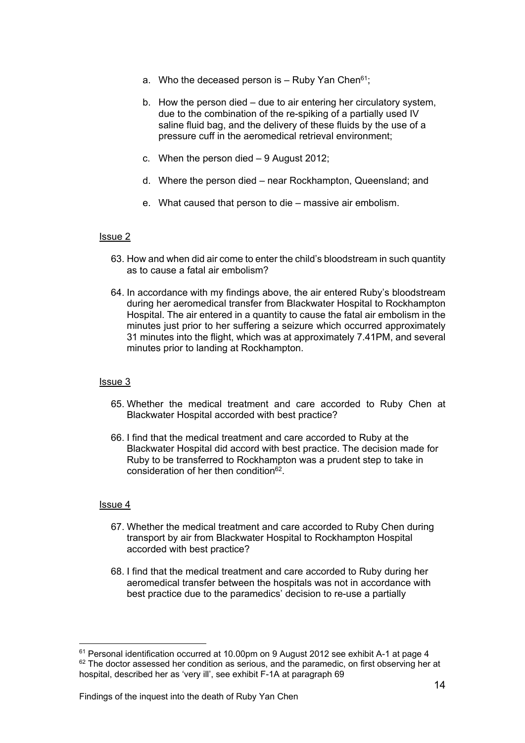- a. Who the deceased person is  $-$  Ruby Yan Chen<sup>61</sup>;
- b. How the person died due to air entering her circulatory system, due to the combination of the re-spiking of a partially used IV saline fluid bag, and the delivery of these fluids by the use of a pressure cuff in the aeromedical retrieval environment;
- c. When the person died 9 August 2012;
- d. Where the person died near Rockhampton, Queensland; and
- e. What caused that person to die massive air embolism.

#### Issue 2

- 63. How and when did air come to enter the child's bloodstream in such quantity as to cause a fatal air embolism?
- 64. In accordance with my findings above, the air entered Ruby's bloodstream during her aeromedical transfer from Blackwater Hospital to Rockhampton Hospital. The air entered in a quantity to cause the fatal air embolism in the minutes just prior to her suffering a seizure which occurred approximately 31 minutes into the flight, which was at approximately 7.41PM, and several minutes prior to landing at Rockhampton.

#### Issue 3

- 65. Whether the medical treatment and care accorded to Ruby Chen at Blackwater Hospital accorded with best practice?
- 66. I find that the medical treatment and care accorded to Ruby at the Blackwater Hospital did accord with best practice. The decision made for Ruby to be transferred to Rockhampton was a prudent step to take in consideration of her then condition<sup>62</sup>

#### Issue 4

- 67. Whether the medical treatment and care accorded to Ruby Chen during transport by air from Blackwater Hospital to Rockhampton Hospital accorded with best practice?
- 68. I find that the medical treatment and care accorded to Ruby during her aeromedical transfer between the hospitals was not in accordance with best practice due to the paramedics' decision to re-use a partially

l <sup>61</sup> Personal identification occurred at 10.00pm on 9 August 2012 see exhibit A-1 at page 4 <sup>62</sup> The doctor assessed her condition as serious, and the paramedic, on first observing her at hospital, described her as 'very ill', see exhibit F-1A at paragraph 69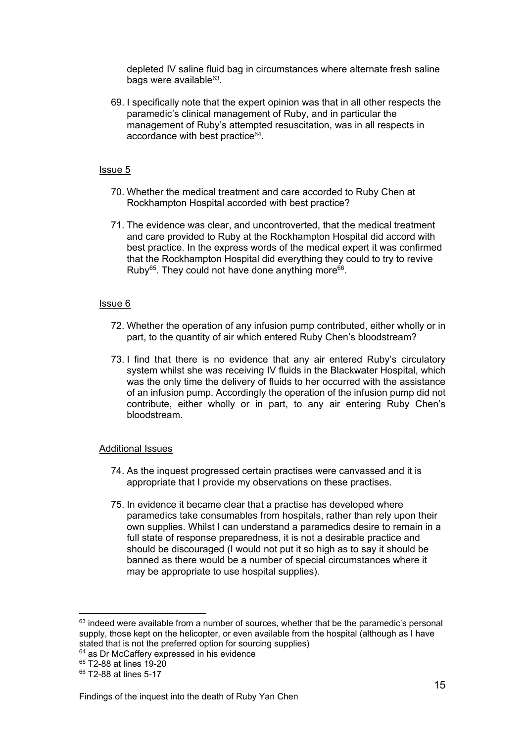depleted IV saline fluid bag in circumstances where alternate fresh saline bags were available<sup>63</sup>.

69. I specifically note that the expert opinion was that in all other respects the paramedic's clinical management of Ruby, and in particular the management of Ruby's attempted resuscitation, was in all respects in accordance with best practice<sup>64</sup>.

#### Issue 5

- 70. Whether the medical treatment and care accorded to Ruby Chen at Rockhampton Hospital accorded with best practice?
- 71. The evidence was clear, and uncontroverted, that the medical treatment and care provided to Ruby at the Rockhampton Hospital did accord with best practice. In the express words of the medical expert it was confirmed that the Rockhampton Hospital did everything they could to try to revive Ruby<sup>65</sup>. They could not have done anything more<sup>66</sup>.

#### Issue 6

- 72. Whether the operation of any infusion pump contributed, either wholly or in part, to the quantity of air which entered Ruby Chen's bloodstream?
- 73. I find that there is no evidence that any air entered Ruby's circulatory system whilst she was receiving IV fluids in the Blackwater Hospital, which was the only time the delivery of fluids to her occurred with the assistance of an infusion pump. Accordingly the operation of the infusion pump did not contribute, either wholly or in part, to any air entering Ruby Chen's bloodstream.

#### Additional Issues

- 74. As the inquest progressed certain practises were canvassed and it is appropriate that I provide my observations on these practises.
- 75. In evidence it became clear that a practise has developed where paramedics take consumables from hospitals, rather than rely upon their own supplies. Whilst I can understand a paramedics desire to remain in a full state of response preparedness, it is not a desirable practice and should be discouraged (I would not put it so high as to say it should be banned as there would be a number of special circumstances where it may be appropriate to use hospital supplies).

65 T2-88 at lines 19-20

 $63$  indeed were available from a number of sources, whether that be the paramedic's personal supply, those kept on the helicopter, or even available from the hospital (although as I have stated that is not the preferred option for sourcing supplies)

 $64$  as Dr McCaffery expressed in his evidence

<sup>66</sup> T2-88 at lines 5-17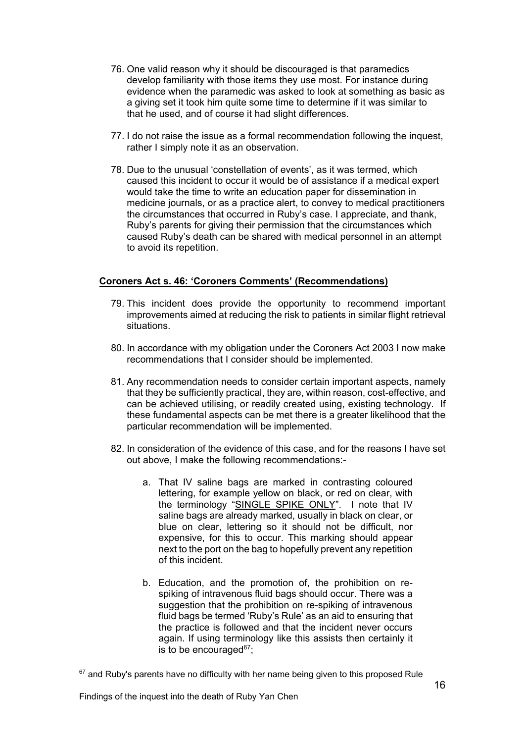- 76. One valid reason why it should be discouraged is that paramedics develop familiarity with those items they use most. For instance during evidence when the paramedic was asked to look at something as basic as a giving set it took him quite some time to determine if it was similar to that he used, and of course it had slight differences.
- 77. I do not raise the issue as a formal recommendation following the inquest, rather I simply note it as an observation.
- 78. Due to the unusual 'constellation of events', as it was termed, which caused this incident to occur it would be of assistance if a medical expert would take the time to write an education paper for dissemination in medicine journals, or as a practice alert, to convey to medical practitioners the circumstances that occurred in Ruby's case. I appreciate, and thank, Ruby's parents for giving their permission that the circumstances which caused Ruby's death can be shared with medical personnel in an attempt to avoid its repetition.

#### **Coroners Act s. 46: 'Coroners Comments' (Recommendations)**

- 79. This incident does provide the opportunity to recommend important improvements aimed at reducing the risk to patients in similar flight retrieval situations.
- 80. In accordance with my obligation under the Coroners Act 2003 I now make recommendations that I consider should be implemented.
- 81. Any recommendation needs to consider certain important aspects, namely that they be sufficiently practical, they are, within reason, cost-effective, and can be achieved utilising, or readily created using, existing technology. If these fundamental aspects can be met there is a greater likelihood that the particular recommendation will be implemented.
- 82. In consideration of the evidence of this case, and for the reasons I have set out above, I make the following recommendations:
	- a. That IV saline bags are marked in contrasting coloured lettering, for example yellow on black, or red on clear, with the terminology "SINGLE SPIKE ONLY". I note that IV saline bags are already marked, usually in black on clear, or blue on clear, lettering so it should not be difficult, nor expensive, for this to occur. This marking should appear next to the port on the bag to hopefully prevent any repetition of this incident.
	- b. Education, and the promotion of, the prohibition on respiking of intravenous fluid bags should occur. There was a suggestion that the prohibition on re-spiking of intravenous fluid bags be termed 'Ruby's Rule' as an aid to ensuring that the practice is followed and that the incident never occurs again. If using terminology like this assists then certainly it is to be encouraged $67$ ;

 $67$  and Ruby's parents have no difficulty with her name being given to this proposed Rule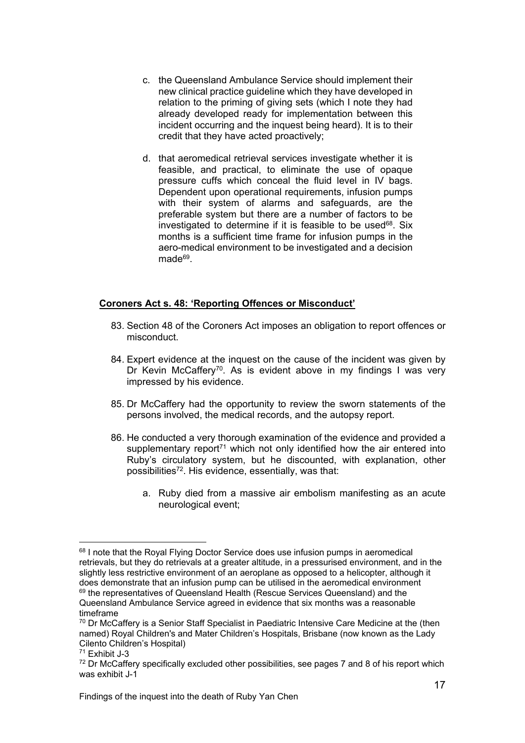- c. the Queensland Ambulance Service should implement their new clinical practice guideline which they have developed in relation to the priming of giving sets (which I note they had already developed ready for implementation between this incident occurring and the inquest being heard). It is to their credit that they have acted proactively;
- d. that aeromedical retrieval services investigate whether it is feasible, and practical, to eliminate the use of opaque pressure cuffs which conceal the fluid level in IV bags. Dependent upon operational requirements, infusion pumps with their system of alarms and safeguards, are the preferable system but there are a number of factors to be investigated to determine if it is feasible to be used  $68$ . Six months is a sufficient time frame for infusion pumps in the aero-medical environment to be investigated and a decision made<sup>69</sup>

# **Coroners Act s. 48: 'Reporting Offences or Misconduct'**

- 83. Section 48 of the Coroners Act imposes an obligation to report offences or misconduct.
- 84. Expert evidence at the inquest on the cause of the incident was given by Dr Kevin McCaffery<sup>70</sup>. As is evident above in my findings I was very impressed by his evidence.
- 85. Dr McCaffery had the opportunity to review the sworn statements of the persons involved, the medical records, and the autopsy report.
- 86. He conducted a very thorough examination of the evidence and provided a supplementary report<sup> $71$ </sup> which not only identified how the air entered into Ruby's circulatory system, but he discounted, with explanation, other possibilities72. His evidence, essentially, was that:
	- a. Ruby died from a massive air embolism manifesting as an acute neurological event;

<sup>&</sup>lt;sup>68</sup> I note that the Royal Flying Doctor Service does use infusion pumps in aeromedical retrievals, but they do retrievals at a greater altitude, in a pressurised environment, and in the slightly less restrictive environment of an aeroplane as opposed to a helicopter, although it does demonstrate that an infusion pump can be utilised in the aeromedical environment <sup>69</sup> the representatives of Queensland Health (Rescue Services Queensland) and the Queensland Ambulance Service agreed in evidence that six months was a reasonable timeframe

 $70$  Dr McCaffery is a Senior Staff Specialist in Paediatric Intensive Care Medicine at the (then named) Royal Children's and Mater Children's Hospitals, Brisbane (now known as the Lady Cilento Children's Hospital)

<sup>71</sup> Exhibit J-3

<sup>&</sup>lt;sup>72</sup> Dr McCaffery specifically excluded other possibilities, see pages 7 and 8 of his report which was exhibit J-1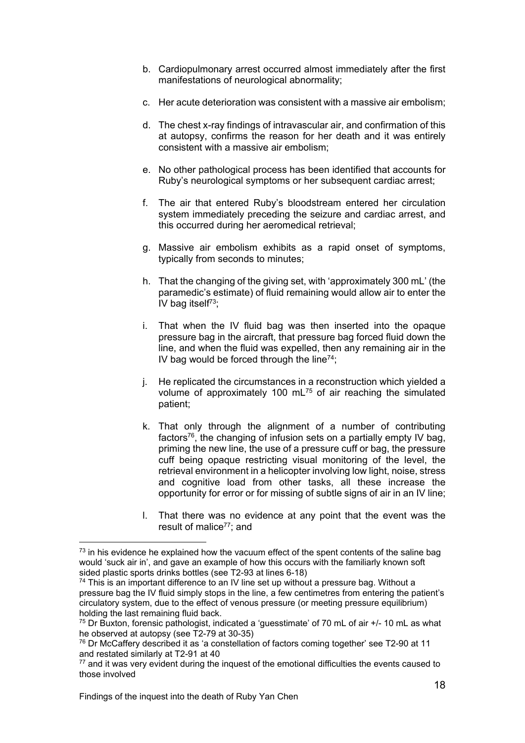- b. Cardiopulmonary arrest occurred almost immediately after the first manifestations of neurological abnormality;
- c. Her acute deterioration was consistent with a massive air embolism;
- d. The chest x-ray findings of intravascular air, and confirmation of this at autopsy, confirms the reason for her death and it was entirely consistent with a massive air embolism;
- e. No other pathological process has been identified that accounts for Ruby's neurological symptoms or her subsequent cardiac arrest;
- f. The air that entered Ruby's bloodstream entered her circulation system immediately preceding the seizure and cardiac arrest, and this occurred during her aeromedical retrieval;
- g. Massive air embolism exhibits as a rapid onset of symptoms, typically from seconds to minutes;
- h. That the changing of the giving set, with 'approximately 300 mL' (the paramedic's estimate) of fluid remaining would allow air to enter the IV bag itself $73$ ;
- i. That when the IV fluid bag was then inserted into the opaque pressure bag in the aircraft, that pressure bag forced fluid down the line, and when the fluid was expelled, then any remaining air in the IV bag would be forced through the line<sup>74</sup>;
- j. He replicated the circumstances in a reconstruction which yielded a volume of approximately 100 mL75 of air reaching the simulated patient;
- k. That only through the alignment of a number of contributing factors<sup>76</sup>, the changing of infusion sets on a partially empty IV bag, priming the new line, the use of a pressure cuff or bag, the pressure cuff being opaque restricting visual monitoring of the level, the retrieval environment in a helicopter involving low light, noise, stress and cognitive load from other tasks, all these increase the opportunity for error or for missing of subtle signs of air in an IV line;
- l. That there was no evidence at any point that the event was the result of malice<sup>77</sup>; and

l  $<sup>73</sup>$  in his evidence he explained how the vacuum effect of the spent contents of the saline bag</sup> would 'suck air in', and gave an example of how this occurs with the familiarly known soft sided plastic sports drinks bottles (see T2-93 at lines 6-18)

 $74$  This is an important difference to an IV line set up without a pressure bag. Without a pressure bag the IV fluid simply stops in the line, a few centimetres from entering the patient's circulatory system, due to the effect of venous pressure (or meeting pressure equilibrium) holding the last remaining fluid back.

 $75$  Dr Buxton, forensic pathologist, indicated a 'guesstimate' of 70 mL of air  $+/-10$  mL as what he observed at autopsy (see T2-79 at 30-35)

 $76$  Dr McCaffery described it as 'a constellation of factors coming together' see T2-90 at 11 and restated similarly at T2-91 at 40

<sup>&</sup>lt;sup>77</sup> and it was very evident during the inquest of the emotional difficulties the events caused to those involved